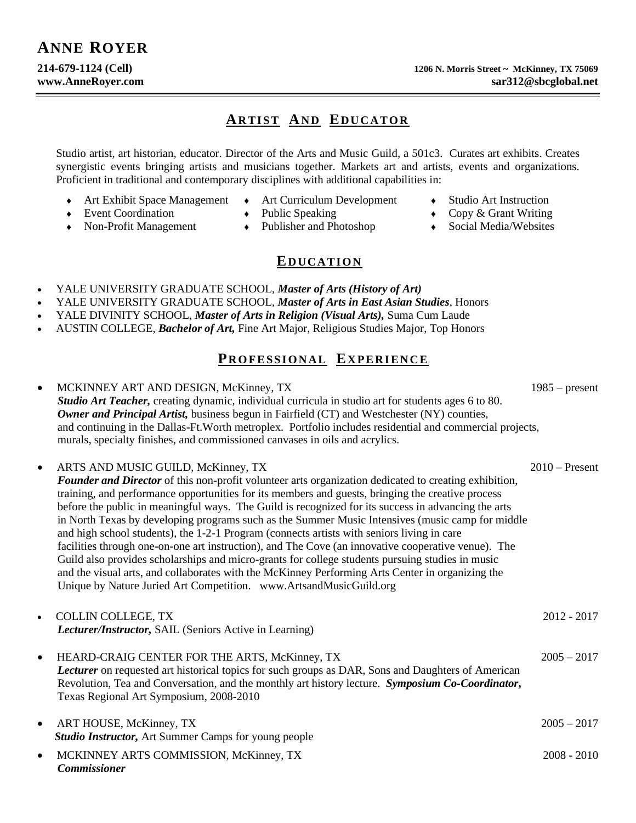# **ARTIST AND EDUCATOR**

Studio artist, art historian, educator. Director of the Arts and Music Guild, a 501c3. Curates art exhibits. Creates synergistic events bringing artists and musicians together. Markets art and artists, events and organizations. Proficient in traditional and contemporary disciplines with additional capabilities in:

- Art Exhibit Space Management Art Curriculum Development Studio Art Instruction
	-
- 
- Event Coordination Public Speaking Copy & Grant Writing
	- Non-Profit Management  $\longrightarrow$  Publisher and Photoshop  $\longrightarrow$  Social Media/Websites
		-

#### **ED U C A T I O N**

- YALE UNIVERSITY GRADUATE SCHOOL, *Master of Arts (History of Art)*
- YALE UNIVERSITY GRADUATE SCHOOL, *Master of Arts in East Asian Studies*, Honors
- YALE DIVINITY SCHOOL, *Master of Arts in Religion (Visual Arts),* Suma Cum Laude
- AUSTIN COLLEGE, *Bachelor of Art,* Fine Art Major, Religious Studies Major, Top Honors

# **PR O F E S S I O N A L EX P E R IE N C E**

• MCKINNEY ART AND DESIGN, McKinney, TX 1985 – present *Studio Art Teacher,* creating dynamic, individual curricula in studio art for students ages 6 to 80.  *Owner and Principal Artist,* business begun in Fairfield (CT) and Westchester (NY) counties, and continuing in the Dallas-Ft.Worth metroplex. Portfolio includes residential and commercial projects, murals, specialty finishes, and commissioned canvases in oils and acrylics. • ARTS AND MUSIC GUILD, McKinney, TX 2010 – Present  *Founder and Director* of this non-profit volunteer arts organization dedicated to creating exhibition, training, and performance opportunities for its members and guests, bringing the creative process before the public in meaningful ways. The Guild is recognized for its success in advancing the arts in North Texas by developing programs such as the Summer Music Intensives (music camp for middle and high school students), the 1-2-1 Program (connects artists with seniors living in care facilities through one-on-one art instruction), and The Cove (an innovative cooperative venue). The Guild also provides scholarships and micro-grants for college students pursuing studies in music and the visual arts, and collaborates with the McKinney Performing Arts Center in organizing the Unique by Nature Juried Art Competition. www.ArtsandMusicGuild.org • COLLIN COLLEGE, TX 2012 - 2017  *Lecturer/Instructor,* SAIL (Seniors Active in Learning) • HEARD-CRAIG CENTER FOR THE ARTS, McKinney, TX 2005 – 2017  *Lecturer* on requested art historical topics for such groups as DAR, Sons and Daughters of American Revolution, Tea and Conversation, and the monthly art history lecture. *Symposium Co-Coordinator***,** Texas Regional Art Symposium, 2008-2010 • ART HOUSE, McKinney, TX 2005 – 2017  *Studio Instructor,* Art Summer Camps for young people • MCKINNEY ARTS COMMISSION, McKinney, TX 2008 - 2010  *Commissioner*

- 
- 
-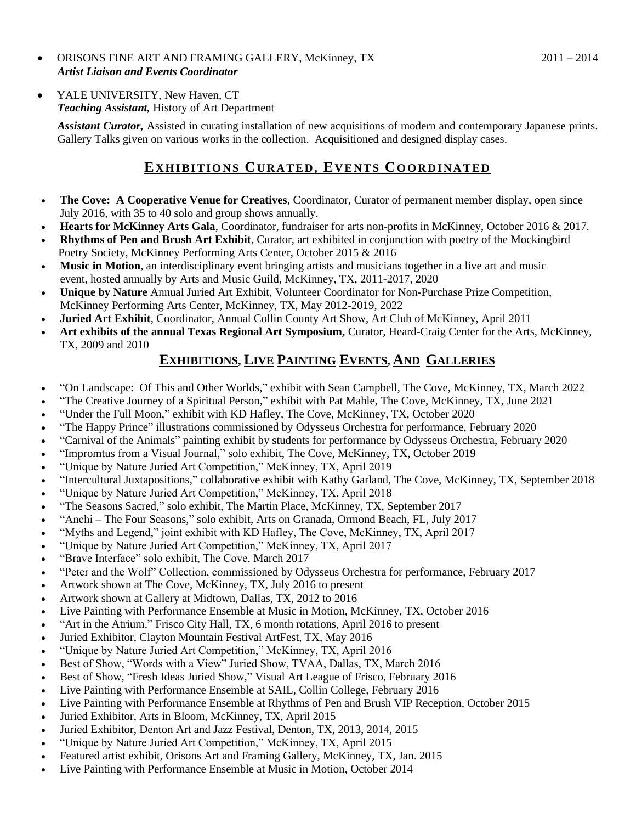- ORISONS FINE ART AND FRAMING GALLERY, McKinney, TX 2011 2014  *Artist Liaison and Events Coordinator*
- YALE UNIVERSITY, New Haven, CT  *Teaching Assistant,* History of Art Department

 *Assistant Curator,* Assisted in curating installation of new acquisitions of modern and contemporary Japanese prints. Gallery Talks given on various works in the collection. Acquisitioned and designed display cases.

# **EX H I B I T I O N S CU R A T E D , EV E N T S CO O R D I N A T E D**

- **The Cove: A Cooperative Venue for Creatives**, Coordinator, Curator of permanent member display, open since July 2016, with 35 to 40 solo and group shows annually.
- **Hearts for McKinney Arts Gala**, Coordinator, fundraiser for arts non-profits in McKinney, October 2016 & 2017.
- **Rhythms of Pen and Brush Art Exhibit**, Curator, art exhibited in conjunction with poetry of the Mockingbird Poetry Society, McKinney Performing Arts Center, October 2015 & 2016
- **Music in Motion**, an interdisciplinary event bringing artists and musicians together in a live art and music event, hosted annually by Arts and Music Guild, McKinney, TX, 2011-2017, 2020
- **Unique by Nature** Annual Juried Art Exhibit, Volunteer Coordinator for Non-Purchase Prize Competition, McKinney Performing Arts Center, McKinney, TX, May 2012-2019, 2022
- **Juried Art Exhibit**, Coordinator, Annual Collin County Art Show, Art Club of McKinney, April 2011
- **Art exhibits of the annual Texas Regional Art Symposium,** Curator, Heard-Craig Center for the Arts, McKinney, TX, 2009 and 2010

### **EXHIBITIONS, LIVE PAINTING EVENTS, AND GALLERIES**

- "On Landscape: Of This and Other Worlds," exhibit with Sean Campbell, The Cove, McKinney, TX, March 2022
- "The Creative Journey of a Spiritual Person," exhibit with Pat Mahle, The Cove, McKinney, TX, June 2021
- "Under the Full Moon," exhibit with KD Hafley, The Cove, McKinney, TX, October 2020
- "The Happy Prince" illustrations commissioned by Odysseus Orchestra for performance, February 2020
- "Carnival of the Animals" painting exhibit by students for performance by Odysseus Orchestra, February 2020
- "Impromtus from a Visual Journal," solo exhibit, The Cove, McKinney, TX, October 2019
- "Unique by Nature Juried Art Competition," McKinney, TX, April 2019
- "Intercultural Juxtapositions," collaborative exhibit with Kathy Garland, The Cove, McKinney, TX, September 2018
- "Unique by Nature Juried Art Competition," McKinney, TX, April 2018
- "The Seasons Sacred," solo exhibit, The Martin Place, McKinney, TX, September 2017
- "Anchi The Four Seasons," solo exhibit, Arts on Granada, Ormond Beach, FL, July 2017
- "Myths and Legend," joint exhibit with KD Hafley, The Cove, McKinney, TX, April 2017
- "Unique by Nature Juried Art Competition," McKinney, TX, April 2017
- "Brave Interface" solo exhibit, The Cove, March 2017
- "Peter and the Wolf" Collection, commissioned by Odysseus Orchestra for performance, February 2017
- Artwork shown at The Cove, McKinney, TX, July 2016 to present
- Artwork shown at Gallery at Midtown, Dallas, TX, 2012 to 2016
- Live Painting with Performance Ensemble at Music in Motion, McKinney, TX, October 2016
- "Art in the Atrium," Frisco City Hall, TX, 6 month rotations, April 2016 to present
- Juried Exhibitor, Clayton Mountain Festival ArtFest, TX, May 2016
- "Unique by Nature Juried Art Competition," McKinney, TX, April 2016
- Best of Show, "Words with a View" Juried Show, TVAA, Dallas, TX, March 2016
- Best of Show, "Fresh Ideas Juried Show," Visual Art League of Frisco, February 2016
- Live Painting with Performance Ensemble at SAIL, Collin College, February 2016
- Live Painting with Performance Ensemble at Rhythms of Pen and Brush VIP Reception, October 2015
- Juried Exhibitor, Arts in Bloom, McKinney, TX, April 2015
- Juried Exhibitor, Denton Art and Jazz Festival, Denton, TX, 2013, 2014, 2015
- "Unique by Nature Juried Art Competition," McKinney, TX, April 2015
- Featured artist exhibit, Orisons Art and Framing Gallery, McKinney, TX, Jan. 2015
- Live Painting with Performance Ensemble at Music in Motion, October 2014